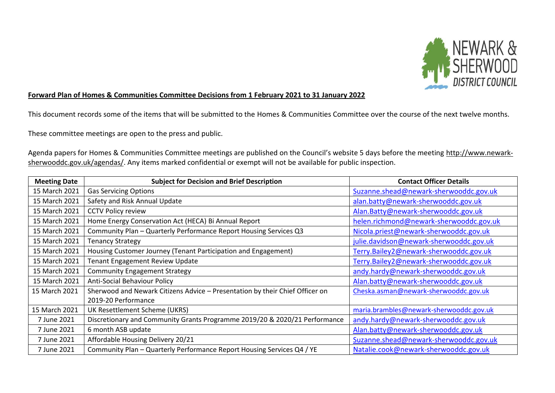

## **Forward Plan of Homes & Communities Committee Decisions from 1 February 2021 to 31 January 2022**

This document records some of the items that will be submitted to the Homes & Communities Committee over the course of the next twelve months.

These committee meetings are open to the press and public.

Agenda papers for Homes & Communities Committee meetings are published on the Council's website 5 days before the meeting [http://www.newark](http://www.newark-sherwooddc.gov.uk/agendas/)[sherwooddc.gov.uk/agendas/.](http://www.newark-sherwooddc.gov.uk/agendas/) Any items marked confidential or exempt will not be available for public inspection.

| <b>Meeting Date</b> | <b>Subject for Decision and Brief Description</b>                            | <b>Contact Officer Details</b>          |
|---------------------|------------------------------------------------------------------------------|-----------------------------------------|
| 15 March 2021       | <b>Gas Servicing Options</b>                                                 | Suzanne.shead@newark-sherwooddc.gov.uk  |
| 15 March 2021       | Safety and Risk Annual Update                                                | alan.batty@newark-sherwooddc.gov.uk     |
| 15 March 2021       | <b>CCTV Policy review</b>                                                    | Alan.Batty@newark-sherwooddc.gov.uk     |
| 15 March 2021       | Home Energy Conservation Act (HECA) Bi Annual Report                         | helen.richmond@newark-sherwooddc.gov.uk |
| 15 March 2021       | Community Plan - Quarterly Performance Report Housing Services Q3            | Nicola.priest@newark-sherwooddc.gov.uk  |
| 15 March 2021       | <b>Tenancy Strategy</b>                                                      | julie.davidson@newark-sherwooddc.gov.uk |
| 15 March 2021       | Housing Customer Journey (Tenant Participation and Engagement)               | Terry.Bailey2@newark-sherwooddc.gov.uk  |
| 15 March 2021       | <b>Tenant Engagement Review Update</b>                                       | Terry.Bailey2@newark-sherwooddc.gov.uk  |
| 15 March 2021       | <b>Community Engagement Strategy</b>                                         | andy.hardy@newark-sherwooddc.gov.uk     |
| 15 March 2021       | <b>Anti-Social Behaviour Policy</b>                                          | Alan.batty@newark-sherwooddc.gov.uk     |
| 15 March 2021       | Sherwood and Newark Citizens Advice - Presentation by their Chief Officer on | Cheska.asman@newark-sherwooddc.gov.uk   |
|                     | 2019-20 Performance                                                          |                                         |
| 15 March 2021       | UK Resettlement Scheme (UKRS)                                                | maria.brambles@newark-sherwooddc.gov.uk |
| 7 June 2021         | Discretionary and Community Grants Programme 2019/20 & 2020/21 Performance   | andy.hardy@newark-sherwooddc.gov.uk     |
| 7 June 2021         | 6 month ASB update                                                           | Alan.batty@newark-sherwooddc.gov.uk     |
| 7 June 2021         | Affordable Housing Delivery 20/21                                            | Suzanne.shead@newark-sherwooddc.gov.uk  |
| 7 June 2021         | Community Plan - Quarterly Performance Report Housing Services Q4 / YE       | Natalie.cook@newark-sherwooddc.gov.uk   |